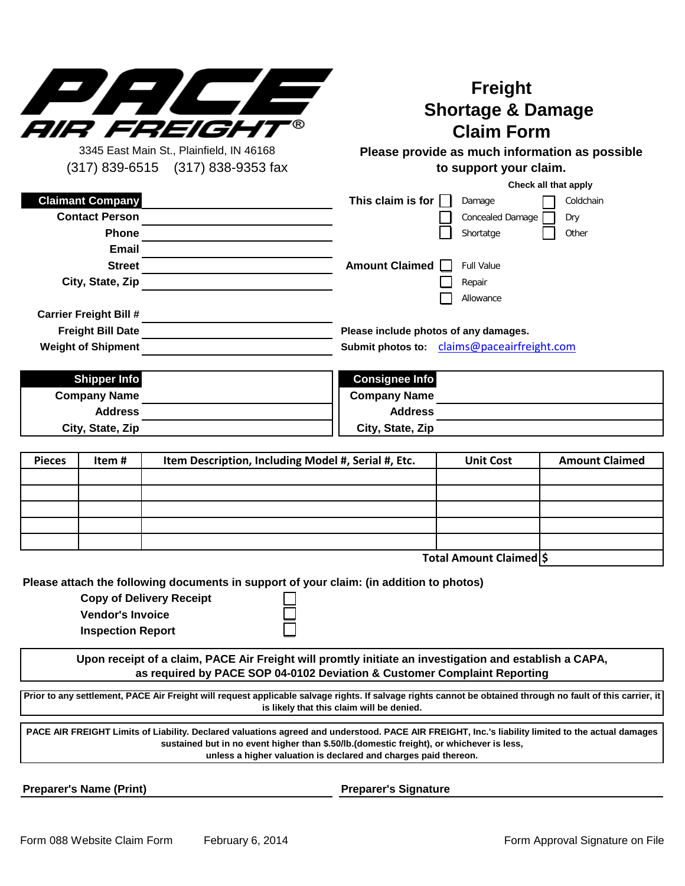

## **Freight Shortage & Damage Claim Form**

3345 East Main St., Plainfield, IN 46168 (317) 839-6515 (317) 838-9353 fax

## **Please provide as much information as possible to support your claim.**

**Check all that apply**

| <b>Claimant Company</b>       | This claim is for<br>Coldchain<br>Damage    |  |  |
|-------------------------------|---------------------------------------------|--|--|
| <b>Contact Person</b>         | <b>Concealed Damage</b><br>Dry              |  |  |
| <b>Phone</b>                  | Shortatge<br>Other                          |  |  |
| Email                         |                                             |  |  |
| <b>Street</b>                 | Amount Claimed<br><b>Full Value</b>         |  |  |
| City, State, Zip              | Repair                                      |  |  |
|                               | Allowance                                   |  |  |
| <b>Carrier Freight Bill #</b> |                                             |  |  |
| <b>Freight Bill Date</b>      | Please include photos of any damages.       |  |  |
| <b>Weight of Shipment</b>     | Submit photos to: claims@paceairfreight.com |  |  |
|                               |                                             |  |  |
| <b>Shipper Info</b>           | <b>Consignee Info</b>                       |  |  |
| A. N                          |                                             |  |  |

| <b>Consignee Info</b> |
|-----------------------|
| <b>Company Name</b>   |
| <b>Address</b>        |
| City, State, Zip      |
|                       |

| <b>Pieces</b> | Item# | Item Description, Including Model #, Serial #, Etc. | <b>Unit Cost</b> | <b>Amount Claimed</b> |
|---------------|-------|-----------------------------------------------------|------------------|-----------------------|
|               |       |                                                     |                  |                       |
|               |       |                                                     |                  |                       |
|               |       |                                                     |                  |                       |
|               |       |                                                     |                  |                       |
|               |       |                                                     |                  |                       |
|               |       |                                                     | _<br>.           | .                     |

**\$ Total Amount Claimed**

**Please attach the following documents in support of your claim: (in addition to photos)**

**Copy of Delivery Receipt**

**Vendor's Invoice**

**Inspection Report**

**Upon receipt of a claim, PACE Air Freight will promtly initiate an investigation and establish a CAPA, as required by PACE SOP 04-0102 Deviation & Customer Complaint Reporting**

Prior to any settlement, PACE Air Freight will request applicable salvage rights. If salvage rights cannot be obtained through no fault of this carrier, it **is likely that this claim will be denied.**

**PACE AIR FREIGHT Limits of Liability. Declared valuations agreed and understood. PACE AIR FREIGHT, Inc.'s liability limited to the actual damages sustained but in no event higher than \$.50/lb.(domestic freight), or whichever is less, unless a higher valuation is declared and charges paid thereon.** 

**Preparer's Name (Print) Preparer's Signature**